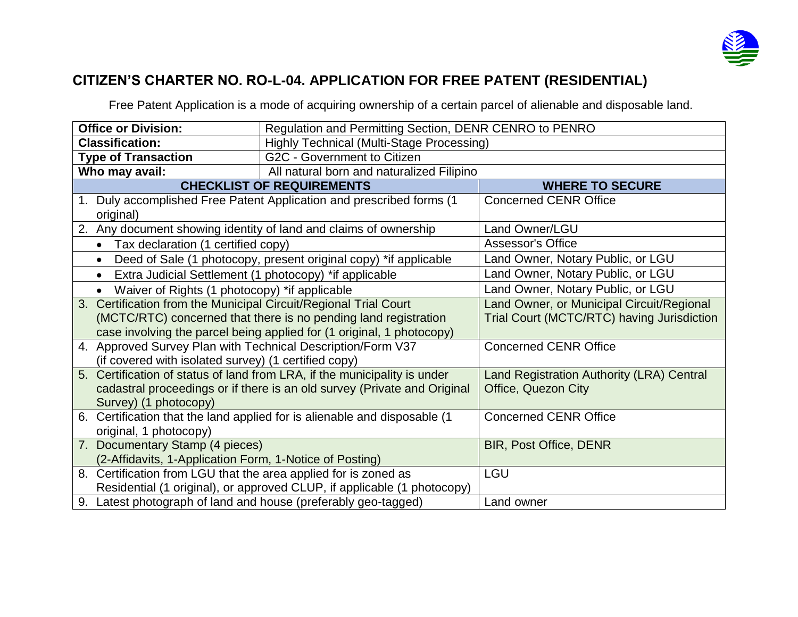

## **CITIZEN'S CHARTER NO. RO-L-04. APPLICATION FOR FREE PATENT (RESIDENTIAL)**

Free Patent Application is a mode of acquiring ownership of a certain parcel of alienable and disposable land.

| <b>Office or Division:</b>                                                | Regulation and Permitting Section, DENR CENRO to PENRO               |                                   |  |  |
|---------------------------------------------------------------------------|----------------------------------------------------------------------|-----------------------------------|--|--|
| <b>Classification:</b>                                                    | <b>Highly Technical (Multi-Stage Processing)</b>                     |                                   |  |  |
| <b>Type of Transaction</b>                                                | G2C - Government to Citizen                                          |                                   |  |  |
| Who may avail:                                                            | All natural born and naturalized Filipino                            |                                   |  |  |
|                                                                           | <b>CHECKLIST OF REQUIREMENTS</b>                                     | <b>WHERE TO SECURE</b>            |  |  |
|                                                                           | 1. Duly accomplished Free Patent Application and prescribed forms (1 | <b>Concerned CENR Office</b>      |  |  |
| original)                                                                 |                                                                      |                                   |  |  |
| 2. Any document showing identity of land and claims of ownership          |                                                                      | Land Owner/LGU                    |  |  |
| • Tax declaration (1 certified copy)                                      |                                                                      | <b>Assessor's Office</b>          |  |  |
| $\bullet$                                                                 | Deed of Sale (1 photocopy, present original copy) *if applicable     | Land Owner, Notary Public, or LGU |  |  |
| Extra Judicial Settlement (1 photocopy) *if applicable<br>$\bullet$       |                                                                      | Land Owner, Notary Public, or LGU |  |  |
| Waiver of Rights (1 photocopy) *if applicable<br>$\bullet$                | Land Owner, Notary Public, or LGU                                    |                                   |  |  |
| 3. Certification from the Municipal Circuit/Regional Trial Court          | Land Owner, or Municipal Circuit/Regional                            |                                   |  |  |
| (MCTC/RTC) concerned that there is no pending land registration           | Trial Court (MCTC/RTC) having Jurisdiction                           |                                   |  |  |
| case involving the parcel being applied for (1 original, 1 photocopy)     |                                                                      |                                   |  |  |
| 4. Approved Survey Plan with Technical Description/Form V37               | <b>Concerned CENR Office</b>                                         |                                   |  |  |
| (if covered with isolated survey) (1 certified copy)                      |                                                                      |                                   |  |  |
| 5. Certification of status of land from LRA, if the municipality is under | Land Registration Authority (LRA) Central                            |                                   |  |  |
| cadastral proceedings or if there is an old survey (Private and Original  | Office, Quezon City                                                  |                                   |  |  |
| Survey) (1 photocopy)                                                     |                                                                      |                                   |  |  |
| 6. Certification that the land applied for is alienable and disposable (1 | <b>Concerned CENR Office</b>                                         |                                   |  |  |
| original, 1 photocopy)                                                    |                                                                      |                                   |  |  |
| 7. Documentary Stamp (4 pieces)                                           | <b>BIR, Post Office, DENR</b>                                        |                                   |  |  |
| (2-Affidavits, 1-Application Form, 1-Notice of Posting)                   |                                                                      |                                   |  |  |
| 8. Certification from LGU that the area applied for is zoned as           | <b>LGU</b>                                                           |                                   |  |  |
| Residential (1 original), or approved CLUP, if applicable (1 photocopy)   |                                                                      |                                   |  |  |
| 9. Latest photograph of land and house (preferably geo-tagged)            | Land owner                                                           |                                   |  |  |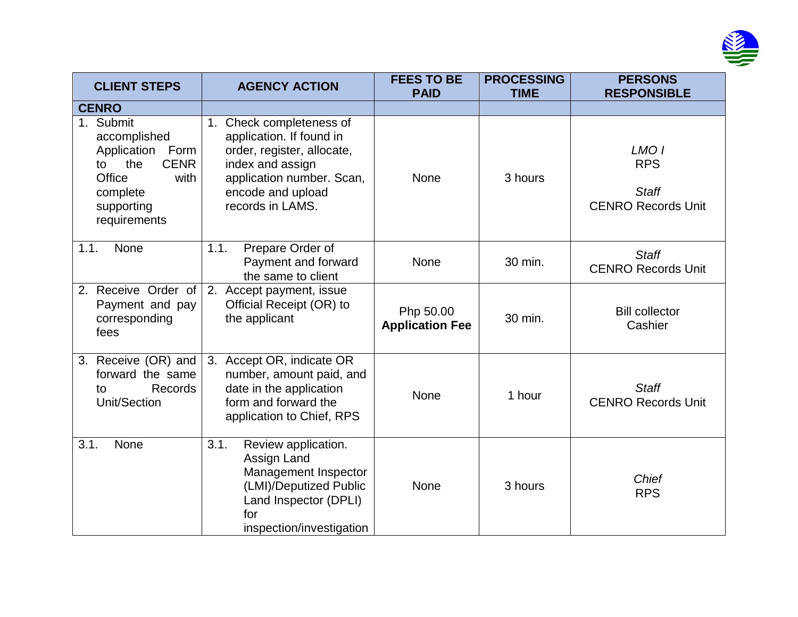

| <b>CLIENT STEPS</b>                                                                                                                      | <b>AGENCY ACTION</b>                                                                                                                                                            | <b>FEES TO BE</b><br><b>PAID</b>    | <b>PROCESSING</b><br><b>TIME</b> | <b>PERSONS</b><br><b>RESPONSIBLE</b>                                        |
|------------------------------------------------------------------------------------------------------------------------------------------|---------------------------------------------------------------------------------------------------------------------------------------------------------------------------------|-------------------------------------|----------------------------------|-----------------------------------------------------------------------------|
| <b>CENRO</b>                                                                                                                             |                                                                                                                                                                                 |                                     |                                  |                                                                             |
| 1. Submit<br>accomplished<br>Application<br>Form<br><b>CENR</b><br>the<br>to<br>Office<br>with<br>complete<br>supporting<br>requirements | Check completeness of<br>1.<br>application. If found in<br>order, register, allocate,<br>index and assign<br>application number. Scan,<br>encode and upload<br>records in LAMS. | None                                | 3 hours                          | LMO <sub>1</sub><br><b>RPS</b><br><b>Staff</b><br><b>CENRO Records Unit</b> |
| None<br>1.1.                                                                                                                             | 1.1.<br>Prepare Order of<br>Payment and forward<br>the same to client                                                                                                           | None                                | 30 min.                          | <b>Staff</b><br><b>CENRO Records Unit</b>                                   |
| 2. Receive Order of<br>Payment and pay<br>corresponding<br>fees                                                                          | 2. Accept payment, issue<br>Official Receipt (OR) to<br>the applicant                                                                                                           | Php 50.00<br><b>Application Fee</b> | 30 min.                          | <b>Bill collector</b><br>Cashier                                            |
| 3. Receive (OR) and<br>forward the same<br>Records<br>to<br>Unit/Section                                                                 | 3. Accept OR, indicate OR<br>number, amount paid, and<br>date in the application<br>form and forward the<br>application to Chief, RPS                                           | None                                | 1 hour                           | <b>Staff</b><br><b>CENRO Records Unit</b>                                   |
| 3.1.<br><b>None</b>                                                                                                                      | 3.1.<br>Review application.<br>Assign Land<br>Management Inspector<br>(LMI)/Deputized Public<br>Land Inspector (DPLI)<br>for<br>inspection/investigation                        | None                                | 3 hours                          | <b>Chief</b><br><b>RPS</b>                                                  |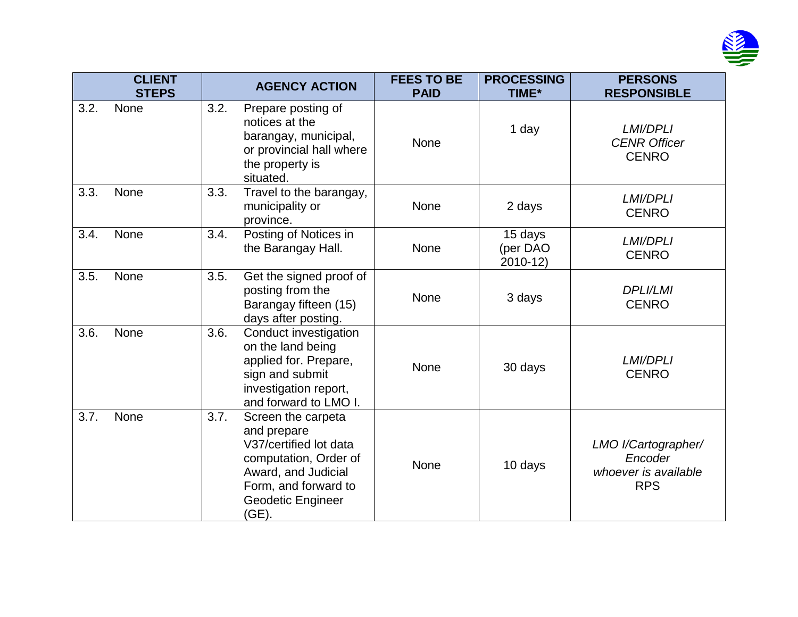

|      | <b>CLIENT</b><br><b>STEPS</b> |      | <b>AGENCY ACTION</b>                                                                                                                                                     | <b>FEES TO BE</b><br><b>PAID</b> | <b>PROCESSING</b><br>TIME*       | <b>PERSONS</b><br><b>RESPONSIBLE</b>                                 |
|------|-------------------------------|------|--------------------------------------------------------------------------------------------------------------------------------------------------------------------------|----------------------------------|----------------------------------|----------------------------------------------------------------------|
| 3.2. | None                          | 3.2. | Prepare posting of<br>notices at the<br>barangay, municipal,<br>or provincial hall where<br>the property is<br>situated.                                                 | None                             | 1 day                            | LMI/DPLI<br><b>CENR Officer</b><br><b>CENRO</b>                      |
| 3.3. | None                          | 3.3. | Travel to the barangay,<br>municipality or<br>province.                                                                                                                  | None                             | 2 days                           | <b>LMI/DPLI</b><br><b>CENRO</b>                                      |
| 3.4. | None                          | 3.4. | Posting of Notices in<br>the Barangay Hall.                                                                                                                              | None                             | 15 days<br>(per DAO<br>$2010-12$ | <b>LMI/DPLI</b><br><b>CENRO</b>                                      |
| 3.5. | None                          | 3.5. | Get the signed proof of<br>posting from the<br>Barangay fifteen (15)<br>days after posting.                                                                              | None                             | 3 days                           | <b>DPLI/LMI</b><br><b>CENRO</b>                                      |
| 3.6. | None                          | 3.6. | Conduct investigation<br>on the land being<br>applied for. Prepare,<br>sign and submit<br>investigation report,<br>and forward to LMO I.                                 | None                             | 30 days                          | <b>LMI/DPLI</b><br><b>CENRO</b>                                      |
| 3.7. | None                          | 3.7. | Screen the carpeta<br>and prepare<br>V37/certified lot data<br>computation, Order of<br>Award, and Judicial<br>Form, and forward to<br><b>Geodetic Engineer</b><br>(GE). | None                             | 10 days                          | LMO I/Cartographer/<br>Encoder<br>whoever is available<br><b>RPS</b> |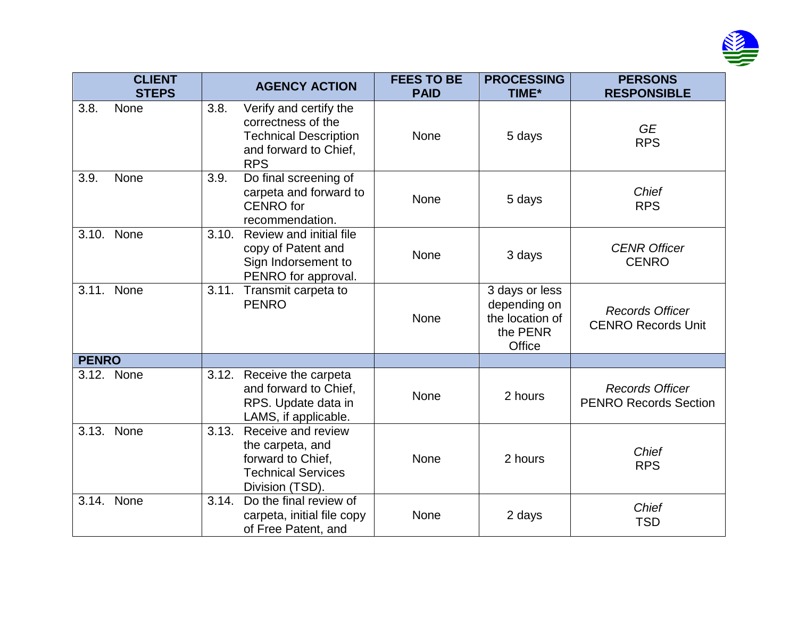

|              | <b>CLIENT</b><br><b>STEPS</b> |       | <b>AGENCY ACTION</b>                                                                                                | <b>FEES TO BE</b><br><b>PAID</b> | <b>PROCESSING</b><br>TIME*                                              | <b>PERSONS</b><br><b>RESPONSIBLE</b>                   |
|--------------|-------------------------------|-------|---------------------------------------------------------------------------------------------------------------------|----------------------------------|-------------------------------------------------------------------------|--------------------------------------------------------|
| 3.8.         | None                          | 3.8.  | Verify and certify the<br>correctness of the<br><b>Technical Description</b><br>and forward to Chief,<br><b>RPS</b> | None                             | 5 days                                                                  | <b>GE</b><br><b>RPS</b>                                |
| 3.9.         | None                          | 3.9.  | Do final screening of<br>carpeta and forward to<br><b>CENRO</b> for<br>recommendation.                              | None                             | 5 days                                                                  | Chief<br><b>RPS</b>                                    |
| 3.10.        | None                          | 3.10. | Review and initial file<br>copy of Patent and<br>Sign Indorsement to<br>PENRO for approval.                         | None                             | 3 days                                                                  | <b>CENR Officer</b><br><b>CENRO</b>                    |
|              | 3.11. None                    |       | 3.11. Transmit carpeta to<br><b>PENRO</b>                                                                           | None                             | 3 days or less<br>depending on<br>the location of<br>the PENR<br>Office | <b>Records Officer</b><br><b>CENRO Records Unit</b>    |
| <b>PENRO</b> |                               |       |                                                                                                                     |                                  |                                                                         |                                                        |
|              | 3.12. None                    | 3.12. | Receive the carpeta<br>and forward to Chief,<br>RPS. Update data in<br>LAMS, if applicable.                         | None                             | 2 hours                                                                 | <b>Records Officer</b><br><b>PENRO Records Section</b> |
| 3.13.        | None                          | 3.13. | Receive and review<br>the carpeta, and<br>forward to Chief,<br><b>Technical Services</b><br>Division (TSD).         | None                             | 2 hours                                                                 | Chief<br><b>RPS</b>                                    |
|              | 3.14. None                    | 3.14. | Do the final review of<br>carpeta, initial file copy<br>of Free Patent, and                                         | None                             | 2 days                                                                  | <b>Chief</b><br><b>TSD</b>                             |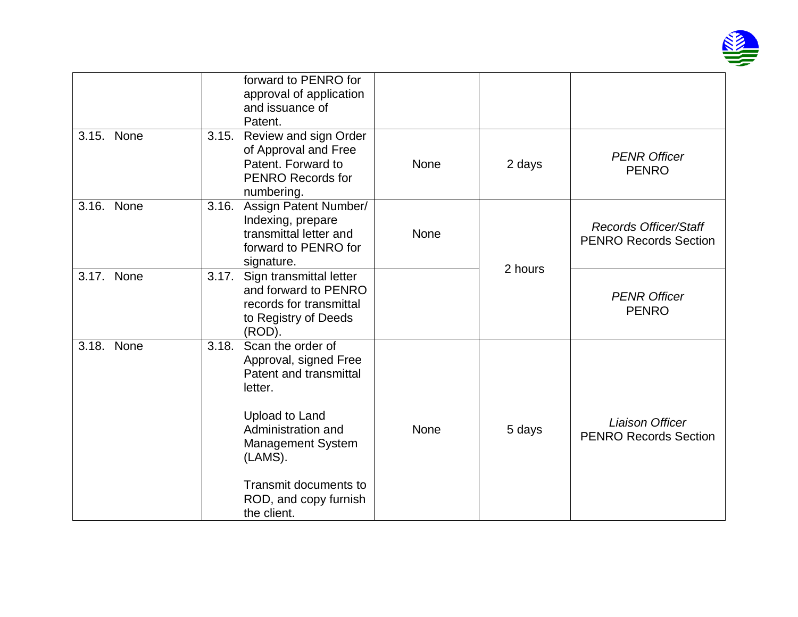

|            |       | forward to PENRO for<br>approval of application<br>and issuance of<br>Patent.                                                                                                                                                   |             |         |                                                              |
|------------|-------|---------------------------------------------------------------------------------------------------------------------------------------------------------------------------------------------------------------------------------|-------------|---------|--------------------------------------------------------------|
| 3.15. None | 3.15. | Review and sign Order<br>of Approval and Free<br>Patent. Forward to<br><b>PENRO Records for</b><br>numbering.                                                                                                                   | None        | 2 days  | <b>PENR Officer</b><br><b>PENRO</b>                          |
| 3.16. None | 3.16. | Assign Patent Number/<br>Indexing, prepare<br>transmittal letter and<br>forward to PENRO for<br>signature.                                                                                                                      | None        | 2 hours | <b>Records Officer/Staff</b><br><b>PENRO Records Section</b> |
| 3.17. None | 3.17. | Sign transmittal letter<br>and forward to PENRO<br>records for transmittal<br>to Registry of Deeds<br>(ROD).                                                                                                                    |             |         | <b>PENR Officer</b><br><b>PENRO</b>                          |
| 3.18. None | 3.18. | Scan the order of<br>Approval, signed Free<br>Patent and transmittal<br>letter.<br>Upload to Land<br>Administration and<br><b>Management System</b><br>(LAMS).<br>Transmit documents to<br>ROD, and copy furnish<br>the client. | <b>None</b> | 5 days  | <b>Liaison Officer</b><br><b>PENRO Records Section</b>       |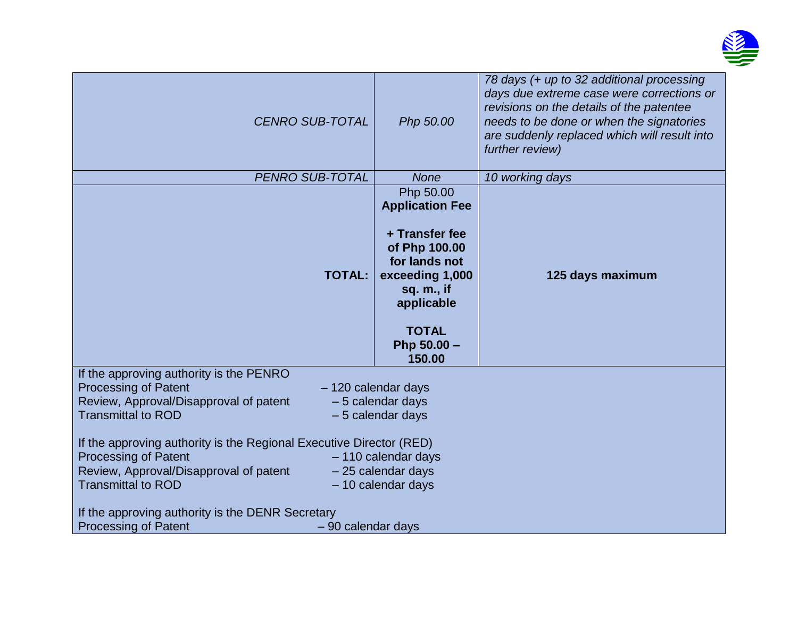

| <b>CENRO SUB-TOTAL</b>                                                                                                                                                                                                                                                                                                                                                                                                                                                                                                                                                      | Php 50.00                                                                                                                                                                       | 78 days (+ up to 32 additional processing<br>days due extreme case were corrections or<br>revisions on the details of the patentee<br>needs to be done or when the signatories<br>are suddenly replaced which will result into<br>further review) |
|-----------------------------------------------------------------------------------------------------------------------------------------------------------------------------------------------------------------------------------------------------------------------------------------------------------------------------------------------------------------------------------------------------------------------------------------------------------------------------------------------------------------------------------------------------------------------------|---------------------------------------------------------------------------------------------------------------------------------------------------------------------------------|---------------------------------------------------------------------------------------------------------------------------------------------------------------------------------------------------------------------------------------------------|
| PENRO SUB-TOTAL                                                                                                                                                                                                                                                                                                                                                                                                                                                                                                                                                             | <b>None</b>                                                                                                                                                                     | 10 working days                                                                                                                                                                                                                                   |
| <b>TOTAL:</b>                                                                                                                                                                                                                                                                                                                                                                                                                                                                                                                                                               | Php 50.00<br><b>Application Fee</b><br>+ Transfer fee<br>of Php 100.00<br>for lands not<br>exceeding 1,000<br>sq. m., if<br>applicable<br><b>TOTAL</b><br>Php 50.00 -<br>150.00 | 125 days maximum                                                                                                                                                                                                                                  |
| If the approving authority is the PENRO<br><b>Processing of Patent</b><br>- 120 calendar days<br>Review, Approval/Disapproval of patent<br>$-5$ calendar days<br><b>Transmittal to ROD</b><br>$-5$ calendar days<br>If the approving authority is the Regional Executive Director (RED)<br><b>Processing of Patent</b><br>$-110$ calendar days<br>Review, Approval/Disapproval of patent<br>- 25 calendar days<br><b>Transmittal to ROD</b><br>$-10$ calendar days<br>If the approving authority is the DENR Secretary<br><b>Processing of Patent</b><br>- 90 calendar days |                                                                                                                                                                                 |                                                                                                                                                                                                                                                   |